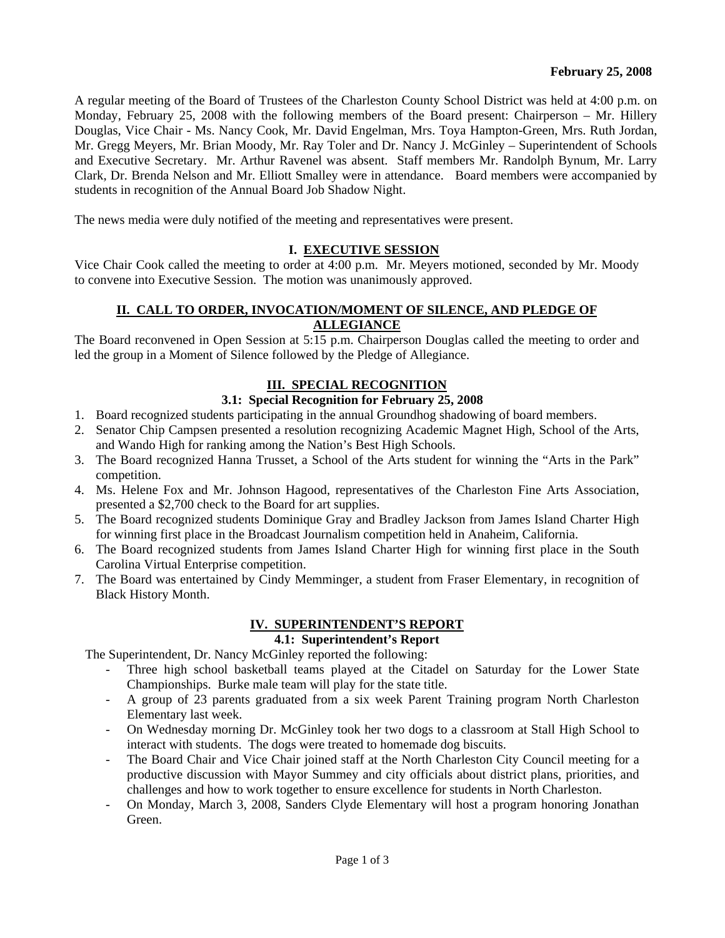A regular meeting of the Board of Trustees of the Charleston County School District was held at 4:00 p.m. on Monday, February 25, 2008 with the following members of the Board present: Chairperson – Mr. Hillery Douglas, Vice Chair - Ms. Nancy Cook, Mr. David Engelman, Mrs. Toya Hampton-Green, Mrs. Ruth Jordan, Mr. Gregg Meyers, Mr. Brian Moody, Mr. Ray Toler and Dr. Nancy J. McGinley – Superintendent of Schools and Executive Secretary. Mr. Arthur Ravenel was absent. Staff members Mr. Randolph Bynum, Mr. Larry Clark, Dr. Brenda Nelson and Mr. Elliott Smalley were in attendance. Board members were accompanied by students in recognition of the Annual Board Job Shadow Night.

The news media were duly notified of the meeting and representatives were present.

### **I. EXECUTIVE SESSION**

Vice Chair Cook called the meeting to order at 4:00 p.m. Mr. Meyers motioned, seconded by Mr. Moody to convene into Executive Session. The motion was unanimously approved.

### **II. CALL TO ORDER, INVOCATION/MOMENT OF SILENCE, AND PLEDGE OF ALLEGIANCE**

The Board reconvened in Open Session at 5:15 p.m. Chairperson Douglas called the meeting to order and led the group in a Moment of Silence followed by the Pledge of Allegiance.

### **III. SPECIAL RECOGNITION**

### **3.1: Special Recognition for February 25, 2008**

- 1. Board recognized students participating in the annual Groundhog shadowing of board members.
- 2. Senator Chip Campsen presented a resolution recognizing Academic Magnet High, School of the Arts, and Wando High for ranking among the Nation's Best High Schools.
- 3. The Board recognized Hanna Trusset, a School of the Arts student for winning the "Arts in the Park" competition.
- 4. Ms. Helene Fox and Mr. Johnson Hagood, representatives of the Charleston Fine Arts Association, presented a \$2,700 check to the Board for art supplies.
- 5. The Board recognized students Dominique Gray and Bradley Jackson from James Island Charter High for winning first place in the Broadcast Journalism competition held in Anaheim, California.
- 6. The Board recognized students from James Island Charter High for winning first place in the South Carolina Virtual Enterprise competition.
- 7. The Board was entertained by Cindy Memminger, a student from Fraser Elementary, in recognition of Black History Month.

#### **IV. SUPERINTENDENT'S REPORT**

# **4.1: Superintendent's Report**

The Superintendent, Dr. Nancy McGinley reported the following:

- Three high school basketball teams played at the Citadel on Saturday for the Lower State Championships. Burke male team will play for the state title.
- A group of 23 parents graduated from a six week Parent Training program North Charleston Elementary last week.
- On Wednesday morning Dr. McGinley took her two dogs to a classroom at Stall High School to interact with students. The dogs were treated to homemade dog biscuits.
- The Board Chair and Vice Chair joined staff at the North Charleston City Council meeting for a productive discussion with Mayor Summey and city officials about district plans, priorities, and challenges and how to work together to ensure excellence for students in North Charleston.
- On Monday, March 3, 2008, Sanders Clyde Elementary will host a program honoring Jonathan Green.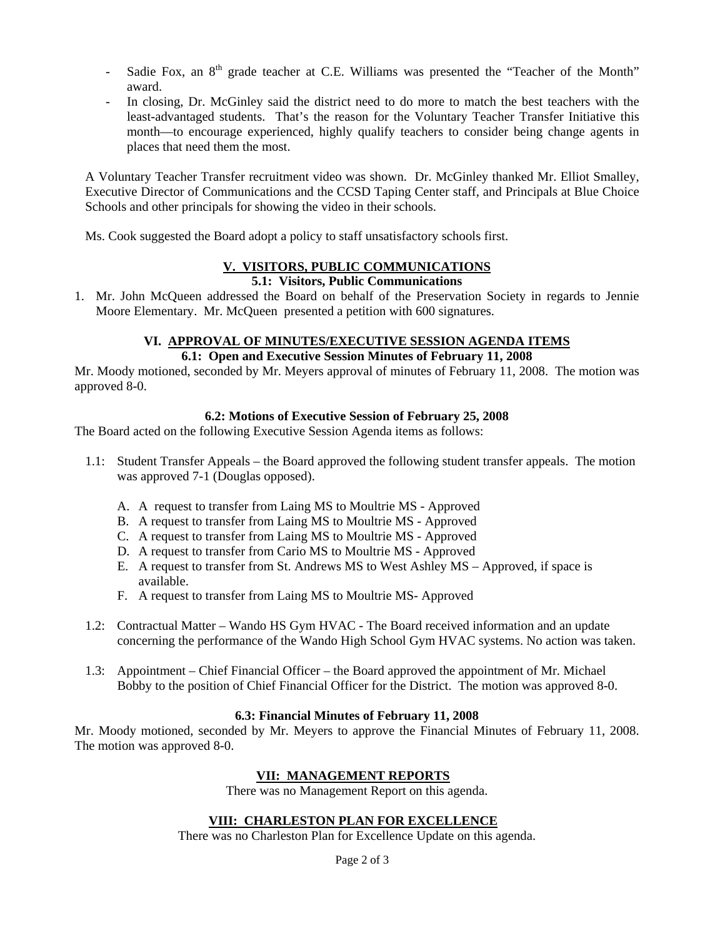- Sadie Fox, an  $8<sup>th</sup>$  grade teacher at C.E. Williams was presented the "Teacher of the Month" award.
- In closing, Dr. McGinley said the district need to do more to match the best teachers with the least-advantaged students. That's the reason for the Voluntary Teacher Transfer Initiative this month—to encourage experienced, highly qualify teachers to consider being change agents in places that need them the most.

A Voluntary Teacher Transfer recruitment video was shown. Dr. McGinley thanked Mr. Elliot Smalley, Executive Director of Communications and the CCSD Taping Center staff, and Principals at Blue Choice Schools and other principals for showing the video in their schools.

Ms. Cook suggested the Board adopt a policy to staff unsatisfactory schools first.

# **V. VISITORS, PUBLIC COMMUNICATIONS**

#### **5.1: Visitors, Public Communications**

1. Mr. John McQueen addressed the Board on behalf of the Preservation Society in regards to Jennie Moore Elementary. Mr. McQueen presented a petition with 600 signatures.

#### **VI. APPROVAL OF MINUTES/EXECUTIVE SESSION AGENDA ITEMS 6.1: Open and Executive Session Minutes of February 11, 2008**

Mr. Moody motioned, seconded by Mr. Meyers approval of minutes of February 11, 2008. The motion was approved 8-0.

### **6.2: Motions of Executive Session of February 25, 2008**

The Board acted on the following Executive Session Agenda items as follows:

- 1.1: Student Transfer Appeals the Board approved the following student transfer appeals. The motion was approved 7-1 (Douglas opposed).
	- A. A request to transfer from Laing MS to Moultrie MS Approved
	- B. A request to transfer from Laing MS to Moultrie MS Approved
	- C. A request to transfer from Laing MS to Moultrie MS Approved
	- D. A request to transfer from Cario MS to Moultrie MS Approved
	- E. A request to transfer from St. Andrews MS to West Ashley MS Approved, if space is available.
	- F. A request to transfer from Laing MS to Moultrie MS- Approved
- 1.2: Contractual Matter Wando HS Gym HVAC The Board received information and an update concerning the performance of the Wando High School Gym HVAC systems. No action was taken.
- 1.3: Appointment Chief Financial Officer the Board approved the appointment of Mr. Michael Bobby to the position of Chief Financial Officer for the District. The motion was approved 8-0.

# **6.3: Financial Minutes of February 11, 2008**

Mr. Moody motioned, seconded by Mr. Meyers to approve the Financial Minutes of February 11, 2008. The motion was approved 8-0.

# **VII: MANAGEMENT REPORTS**

There was no Management Report on this agenda.

# **VIII: CHARLESTON PLAN FOR EXCELLENCE**

There was no Charleston Plan for Excellence Update on this agenda.